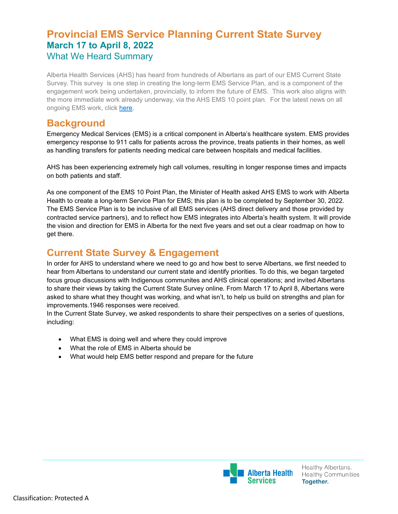# **Provincial EMS Service Planning Current State Survey March 17 to April 8, 2022** What We Heard Summary

Alberta Health Services (AHS) has heard from hundreds of Albertans as part of our EMS Current State Survey. This survey is one step in creating the long-term EMS Service Plan, and is a component of the engagement work being undertaken, provincially, to inform the future of EMS. This work also aligns with the more immediate work already underway, via the AHS EMS 10 point plan. For the latest news on all ongoing EMS work, click [here.](https://www.albertahealthservices.ca/ems/Page17851.aspx)

### **Background**

Emergency Medical Services (EMS) is a critical component in Alberta's healthcare system. EMS provides emergency response to 911 calls for patients across the province, treats patients in their homes, as well as handling transfers for patients needing medical care between hospitals and medical facilities.

AHS has been experiencing extremely high call volumes, resulting in longer response times and impacts on both patients and staff.

As one component of the EMS 10 Point Plan, the Minister of Health asked AHS EMS to work with Alberta Health to create a long-term Service Plan for EMS; this plan is to be completed by September 30, 2022. The EMS Service Plan is to be inclusive of all EMS services (AHS direct delivery and those provided by contracted service partners), and to reflect how EMS integrates into Alberta's health system. It will provide the vision and direction for EMS in Alberta for the next five years and set out a clear roadmap on how to get there.

# **Current State Survey & Engagement**

In order for AHS to understand where we need to go and how best to serve Albertans, we first needed to hear from Albertans to understand our current state and identify priorities. To do this, we began targeted focus group discussions with Indigenous communites and AHS clinical operations; and invited Albertans to share their views by taking the Current State Survey online. From March 17 to April 8, Albertans were asked to share what they thought was working, and what isn't, to help us build on strengths and plan for improvements.1946 responses were received.

In the Current State Survey, we asked respondents to share their perspectives on a series of questions, including:

- What EMS is doing well and where they could improve
- What the role of EMS in Alberta should be
- What would help EMS better respond and prepare for the future

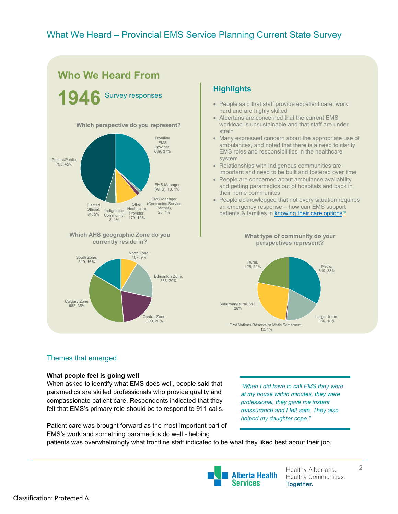

#### **Highlights**

- People said that staff provide excellent care, work hard and are highly skilled
- Albertans are concerned that the current EMS workload is unsustainable and that staff are under strain
- Many expressed concern about the appropriate use of ambulances, and noted that there is a need to clarify EMS roles and responsibilities in the healthcare system
- Relationships with Indigenous communities are important and need to be built and fostered over time
- People are concerned about ambulance availability and getting paramedics out of hospitals and back in their home communites
- People acknowledged that not every situation requires an emergency response – how can EMS support patients & families in **[knowing their care options?](https://www.albertahealthservices.ca/options/Page11972.aspx)**

**What type of community do your perspectives represent?**



#### Themes that emerged

#### **What people feel is going well**

When asked to identify what EMS does well, people said that paramedics are skilled professionals who provide quality and compassionate patient care. Respondents indicated that they felt that EMS's primary role should be to respond to 911 calls.

Patient care was brought forward as the most important part of EMS's work and something paramedics do well - helping

*"When I did have to call EMS they were at my house within minutes, they were professional, they gave me instant reassurance and I felt safe. They also helped my daughter cope."*

patients was overwhelmingly what frontline staff indicated to be what they liked best about their job.



Healthy Albertans. Healthy Communities. **Together.** 

2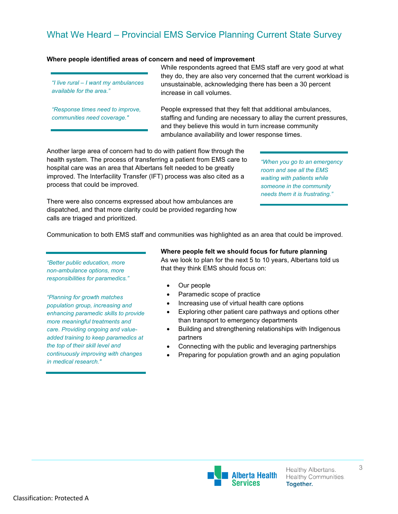#### **Where people identified areas of concern and need of improvement**

*"I live rural – I want my ambulances available for the area."*

*"Response times need to improve, communities need coverage."*

While respondents agreed that EMS staff are very good at what they do, they are also very concerned that the current workload is unsustainable, acknowledging there has been a 30 percent increase in call volumes.

People expressed that they felt that additional ambulances, staffing and funding are necessary to allay the current pressures, and they believe this would in turn increase community ambulance availability and lower response times.

Another large area of concern had to do with patient flow through the health system. The process of transferring a patient from EMS care to hospital care was an area that Albertans felt needed to be greatly improved. The Interfacility Transfer (IFT) process was also cited as a process that could be improved.

*"When you go to an emergency room and see all the EMS waiting with patients while someone in the community needs them it is frustrating."*

There were also concerns expressed about how ambulances are dispatched, and that more clarity could be provided regarding how calls are triaged and prioritized.

Communication to both EMS staff and communities was highlighted as an area that could be improved.

*"Better public education, more non-ambulance options, more responsibilities for paramedics."*

*"Planning for growth matches population group, increasing and enhancing paramedic skills to provide more meaningful treatments and care. Providing ongoing and valueadded training to keep paramedics at the top of their skill level and continuously improving with changes in medical research."*

**Where people felt we should focus for future planning**  As we look to plan for the next 5 to 10 years, Albertans told us that they think EMS should focus on:

- Our people
- Paramedic scope of practice
- Increasing use of virtual health care options
- Exploring other patient care pathways and options other than transport to emergency departments
- Building and strengthening relationships with Indigenous partners
- Connecting with the public and leveraging partnerships
- Preparing for population growth and an aging population

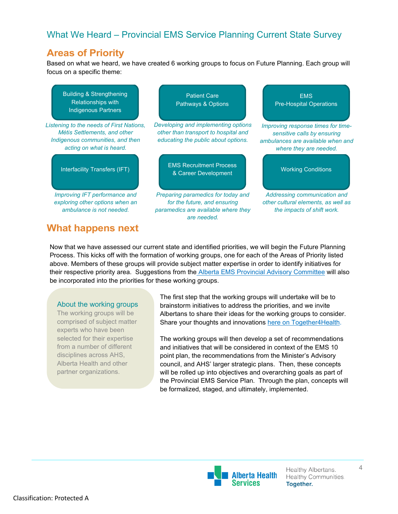## **Areas of Priority**

Based on what we heard, we have created 6 working groups to focus on Future Planning. Each group will focus on a specific theme:

Building & Strengthening Relationships with Indigenous Partners

*Listening to the needs of First Nations, Métis Settlements, and other Indigenous communities, and then acting on what is heard.*

*Improving IFT performance and exploring other options when an ambulance is not needed.*

**What happens next**

*Developing and implementing options other than transport to hospital and*  Pathways & Options

Patient Care

*educating the public about options.*

Interfacility Transfers (IFT) EMS Recruitment Process **A Career Development Working Conditions**<br>
& Career Development

> *Preparing paramedics for today and for the future, and ensuring paramedics are available where they are needed.*

**EMS** Pre-Hospital Operations

*Improving response times for timesensitive calls by ensuring ambulances are available when and where they are needed.*

*Addressing communication and other cultural elements, as well as the impacts of shift work.*

Now that we have assessed our current state and identified priorities, we will begin the Future Planning Process. This kicks off with the formation of working groups, one for each of the Areas of Priority listed above. Members of these groups will provide subject matter expertise in order to identify initiatives for their respective priority area. Suggestions from the [Alberta EMS Provincial Advisory Committee](https://www.alberta.ca/release.cfm?xID=826540A77437E-C51E-937A-54200098D6A7C7F9) will also be incorporated into the priorities for these working groups.

#### About the working groups

The working groups will be comprised of subject matter experts who have been selected for their expertise from a number of different disciplines across AHS, Alberta Health and other partner organizations.

The first step that the working groups will undertake will be to brainstorm initiatives to address the priorities, and we invite Albertans to share their ideas for the working groups to consider. Share your thoughts and innovations here on [Together4Health.](https://together4health.albertahealthservices.ca/ems-service-planning)

The working groups will then develop a set of recommendations and initiatives that will be considered in context of the EMS 10 point plan, the recommendations from the Minister's Advisory council, and AHS' larger strategic plans. Then, these concepts will be rolled up into objectives and overarching goals as part of the Provincial EMS Service Plan. Through the plan, concepts will be formalized, staged, and ultimately, implemented.